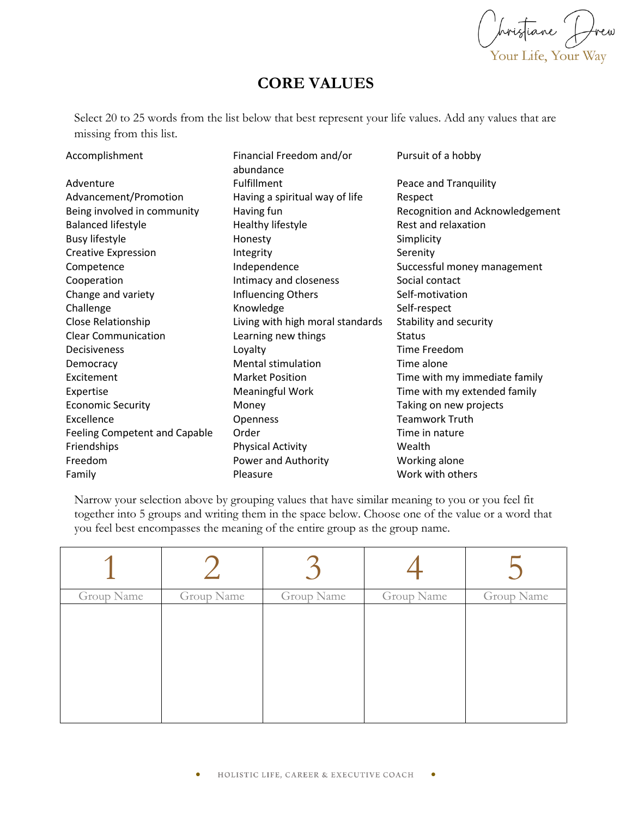Opristiane Drew<br>Your Life, Your Way

## **CORE VALUES**

Select 20 to 25 words from the list below that best represent your life values. Add any values that are missing from this list.

| Accomplishment                | Financial Freedom and/or<br>abundance | Pursuit of a hobby              |  |
|-------------------------------|---------------------------------------|---------------------------------|--|
| Adventure                     | Fulfillment                           | Peace and Tranquility           |  |
| Advancement/Promotion         | Having a spiritual way of life        | Respect                         |  |
| Being involved in community   | Having fun                            | Recognition and Acknowledgement |  |
| <b>Balanced lifestyle</b>     | Healthy lifestyle                     | Rest and relaxation             |  |
| <b>Busy lifestyle</b>         | Honesty                               | Simplicity                      |  |
| <b>Creative Expression</b>    | Integrity                             | Serenity                        |  |
| Competence                    | Independence                          | Successful money management     |  |
| Cooperation                   | Intimacy and closeness                | Social contact                  |  |
| Change and variety            | Influencing Others                    | Self-motivation                 |  |
| Challenge                     | Knowledge                             | Self-respect                    |  |
| Close Relationship            | Living with high moral standards      | Stability and security          |  |
| <b>Clear Communication</b>    | Learning new things                   | <b>Status</b>                   |  |
| <b>Decisiveness</b>           | Loyalty                               | Time Freedom                    |  |
| Democracy                     | <b>Mental stimulation</b>             | Time alone                      |  |
| Excitement                    | <b>Market Position</b>                | Time with my immediate family   |  |
| Expertise                     | Meaningful Work                       | Time with my extended family    |  |
| <b>Economic Security</b>      | Money                                 | Taking on new projects          |  |
| Excellence                    | Openness                              | <b>Teamwork Truth</b>           |  |
| Feeling Competent and Capable | Order                                 | Time in nature                  |  |
| Friendships                   | <b>Physical Activity</b>              | Wealth                          |  |
| Freedom                       | Power and Authority                   | Working alone                   |  |
| Family                        | Pleasure                              | Work with others                |  |

Narrow your selection above by grouping values that have similar meaning to you or you feel fit together into 5 groups and writing them in the space below. Choose one of the value or a word that you feel best encompasses the meaning of the entire group as the group name.

| Group Name | Group Name | Group Name | Group Name | Group Name |
|------------|------------|------------|------------|------------|
|            |            |            |            |            |
|            |            |            |            |            |
|            |            |            |            |            |
|            |            |            |            |            |
|            |            |            |            |            |
|            |            |            |            |            |
|            |            |            |            |            |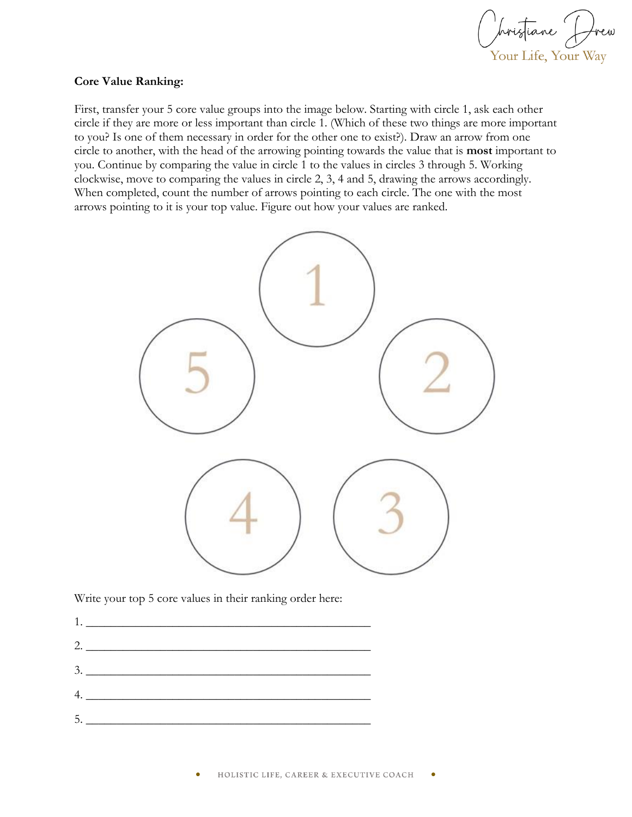Obristiane Drew Your Life, Your Way

## **Core Value Ranking:**

First, transfer your 5 core value groups into the image below. Starting with circle 1, ask each other circle if they are more or less important than circle 1. (Which of these two things are more important to you? Is one of them necessary in order for the other one to exist?). Draw an arrow from one circle to another, with the head of the arrowing pointing towards the value that is **most** important to you. Continue by comparing the value in circle 1 to the values in circles 3 through 5. Working clockwise, move to comparing the values in circle 2, 3, 4 and 5, drawing the arrows accordingly. When completed, count the number of arrows pointing to each circle. The one with the most arrows pointing to it is your top value. Figure out how your values are ranked.



Write your top 5 core values in their ranking order here:

 $1.$ 2. \_\_\_\_\_\_\_\_\_\_\_\_\_\_\_\_\_\_\_\_\_\_\_\_\_\_\_\_\_\_\_\_\_\_\_\_\_\_\_\_\_\_\_\_\_\_  $3.$  $4.$   $\overline{\phantom{a}}$  $5.$